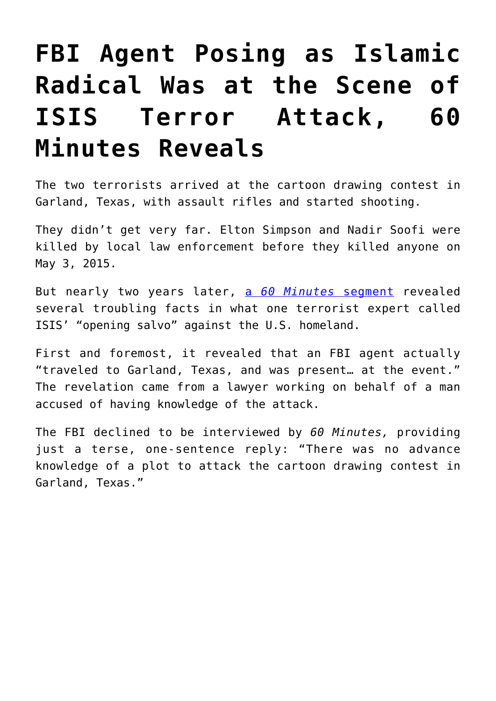## **[FBI Agent Posing as Islamic](https://intellectualtakeout.org/2017/03/fbi-agent-posing-as-islamic-radical-was-at-the-scene-of-isis-terror-attack-60-minutes-reveals/) [Radical Was at the Scene of](https://intellectualtakeout.org/2017/03/fbi-agent-posing-as-islamic-radical-was-at-the-scene-of-isis-terror-attack-60-minutes-reveals/) [ISIS Terror Attack, 60](https://intellectualtakeout.org/2017/03/fbi-agent-posing-as-islamic-radical-was-at-the-scene-of-isis-terror-attack-60-minutes-reveals/) [Minutes Reveals](https://intellectualtakeout.org/2017/03/fbi-agent-posing-as-islamic-radical-was-at-the-scene-of-isis-terror-attack-60-minutes-reveals/)**

The two terrorists arrived at the cartoon drawing contest in Garland, Texas, with assault rifles and started shooting.

They didn't get very far. Elton Simpson and Nadir Soofi were killed by local law enforcement before they killed anyone on May 3, 2015.

But nearly two years later, [a](http://www.cbsnews.com/news/terrorism-in-garland-texas-what-the-fbi-knew-before-the-2015-attack/) *[60 Minutes](http://www.cbsnews.com/news/terrorism-in-garland-texas-what-the-fbi-knew-before-the-2015-attack/)* [segment](http://www.cbsnews.com/news/terrorism-in-garland-texas-what-the-fbi-knew-before-the-2015-attack/) revealed several troubling facts in what one terrorist expert called ISIS' "opening salvo" against the U.S. homeland.

First and foremost, it revealed that an FBI agent actually "traveled to Garland, Texas, and was present… at the event." The revelation came from a lawyer working on behalf of a man accused of having knowledge of the attack.

The FBI declined to be interviewed by *60 Minutes,* providing just a terse, one-sentence reply: "There was no advance knowledge of a plot to attack the cartoon drawing contest in Garland, Texas."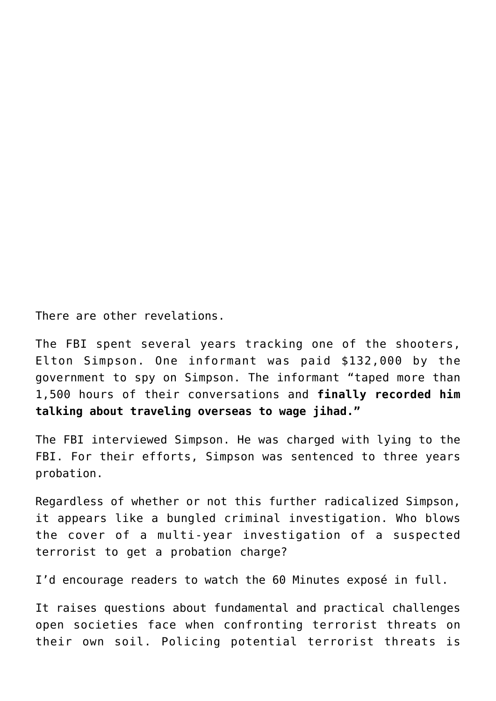There are other revelations.

The FBI spent several years tracking one of the shooters, Elton Simpson. One informant was paid \$132,000 by the government to spy on Simpson. The informant "taped more than 1,500 hours of their conversations and **finally recorded him talking about traveling overseas to wage jihad."**

The FBI interviewed Simpson. He was charged with lying to the FBI. For their efforts, Simpson was sentenced to three years probation.

Regardless of whether or not this further radicalized Simpson, it appears like a bungled criminal investigation. Who blows the cover of a multi-year investigation of a suspected terrorist to get a probation charge?

I'd encourage readers to watch the 60 Minutes exposé in full.

It raises questions about fundamental and practical challenges open societies face when confronting terrorist threats on their own soil. Policing potential terrorist threats is